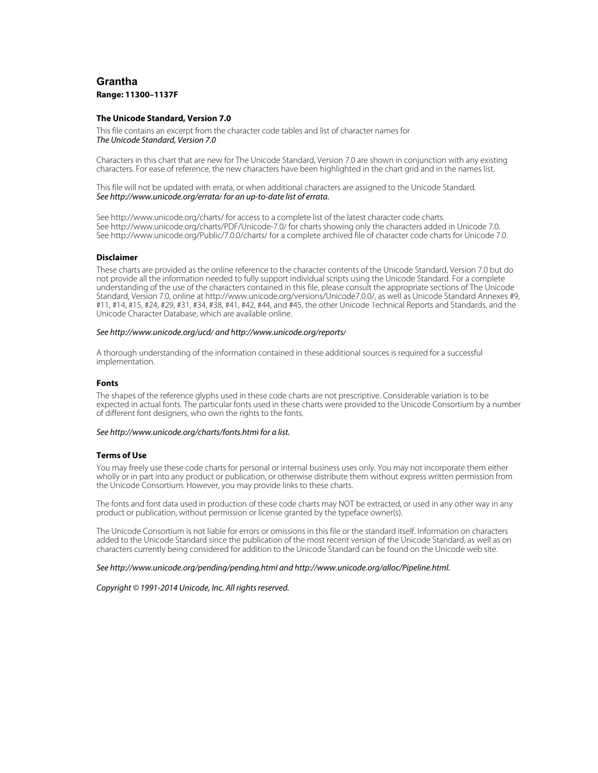# **Grantha Range: 11300–1137F**

#### **The Unicode Standard, Version 7.0**

This file contains an excerpt from the character code tables and list of character names for The Unicode Standard, Version 7.0

Characters in this chart that are new for The Unicode Standard, Version 7.0 are shown in conjunction with any existing characters. For ease of reference, the new characters have been highlighted in the chart grid and in the names list.

This file will not be updated with errata, or when additional characters are assigned to the Unicode Standard. See <http://www.unicode.org/errata/>for an up-to-date list of errata.

See <http://www.unicode.org/charts/> for access to a complete list of the latest character code charts. See <http://www.unicode.org/charts/PDF/Unicode-7.0/>for charts showing only the characters added in Unicode 7.0. See <http://www.unicode.org/Public/7.0.0/charts/> for a complete archived file of character code charts for Unicode 7.0.

### **Disclaimer**

These charts are provided as the online reference to the character contents of the Unicode Standard, Version 7.0 but do not provide all the information needed to fully support individual scripts using the Unicode Standard. For a complete understanding of the use of the characters contained in this file, please consult the appropriate sections of The Unicode Standard, Version 7.0, online at [http://www.unicode.org/versions/Unicode7.0.0/,](http://www.unicode.org/versions/Unicode7.0.0/) as well as Unicode Standard Annexes #9, #11, #14, #15, #24, #29, #31, #34, #38, #41, #42, #44, and #45, the other Unicode Technical Reports and Standards, and the Unicode Character Database, which are available online.

#### See <http://www.unicode.org/ucd/>and<http://www.unicode.org/reports/>

A thorough understanding of the information contained in these additional sources is required for a successful implementation.

#### **Fonts**

The shapes of the reference glyphs used in these code charts are not prescriptive. Considerable variation is to be expected in actual fonts. The particular fonts used in these charts were provided to the Unicode Consortium by a number of different font designers, who own the rights to the fonts.

#### See <http://www.unicode.org/charts/fonts.html> for a list.

#### **Terms of Use**

You may freely use these code charts for personal or internal business uses only. You may not incorporate them either wholly or in part into any product or publication, or otherwise distribute them without express written permission from the Unicode Consortium. However, you may provide links to these charts.

The fonts and font data used in production of these code charts may NOT be extracted, or used in any other way in any product or publication, without permission or license granted by the typeface owner(s).

The Unicode Consortium is not liable for errors or omissions in this file or the standard itself. Information on characters added to the Unicode Standard since the publication of the most recent version of the Unicode Standard, as well as on characters currently being considered for addition to the Unicode Standard can be found on the Unicode web site.

#### See <http://www.unicode.org/pending/pending.html> and [http://www.unicode.org/alloc/Pipeline.html.](http://www.unicode.org/alloc/Pipeline.html)

#### Copyright © 1991-2014 Unicode, Inc. All rights reserved.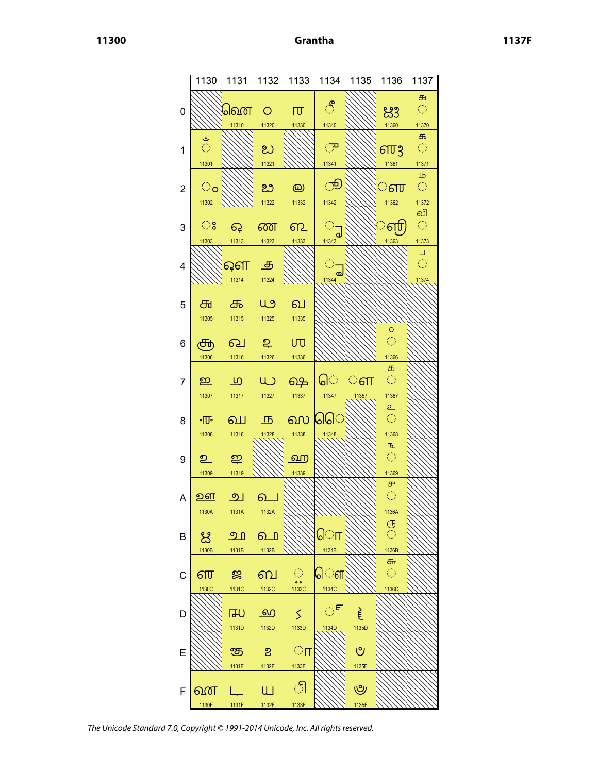|                | 1130               | 1131                | 1132       | 1133                                      | 1134       | 1135  | 1136                        | 1137                        |
|----------------|--------------------|---------------------|------------|-------------------------------------------|------------|-------|-----------------------------|-----------------------------|
|                |                    |                     |            |                                           |            |       |                             |                             |
|                |                    |                     |            |                                           |            |       |                             | Œ                           |
| 0              |                    | പ്രണ                | $\circ$    | 帀                                         | ්          |       | ಜಿ                          | $\mathcal{C}^{\mathcal{A}}$ |
|                |                    |                     |            |                                           |            |       |                             |                             |
|                |                    | 11310               | 11320      | 11330                                     | 11340      |       | 11360                       | 11370                       |
|                |                    |                     |            |                                           |            |       |                             |                             |
|                | $\frac{3}{2}$      |                     |            |                                           |            |       |                             | க                           |
| 1              |                    |                     | ಬ          |                                           | ு          |       | ளர                          | $\langle \cdot \rangle$     |
|                |                    |                     |            |                                           |            |       |                             |                             |
|                | 11301              |                     | 11321      |                                           | 11341      |       | 11361                       | 11371                       |
|                |                    |                     |            |                                           |            |       |                             |                             |
|                |                    |                     |            |                                           |            |       |                             | $\overline{B}$              |
| $\overline{c}$ | $\circ$            |                     | ಬಿ         | $\circledR$                               | ூ          |       | ்ள                          | $\langle \cdot \rangle$     |
|                |                    |                     |            |                                           |            |       |                             |                             |
|                | 11302              |                     | 11322      | 11332                                     | 11342      |       | 11362                       | 11372                       |
|                |                    |                     |            |                                           |            |       |                             | வி                          |
|                |                    |                     |            |                                           |            |       |                             |                             |
| 3              | ះ                  | ငှေ                 | ண          | ഩ                                         | $\bigcirc$ |       | ்ள                          | $\hat{\mathcal{C}}$         |
|                |                    |                     |            |                                           |            |       |                             |                             |
|                | 11303              | 11313               | 11323      | 11333                                     | 11343      |       | 11363                       | 11373                       |
|                |                    |                     |            |                                           |            |       |                             | $\Box$                      |
|                |                    |                     |            |                                           |            |       |                             |                             |
| 4              |                    | ஔ                   | த          |                                           |            |       |                             | Ó                           |
|                |                    |                     |            |                                           | 11344      |       |                             |                             |
|                |                    | 11314               | 11324      |                                           |            |       |                             | 11374                       |
|                |                    |                     |            |                                           |            |       |                             |                             |
|                |                    |                     |            |                                           |            |       |                             |                             |
| 5              | ௬                  | க                   | யூ         | வ                                         |            |       |                             |                             |
|                |                    |                     |            |                                           |            |       |                             |                             |
|                | 11305              | 11315               | 11325      | 11335                                     |            |       |                             |                             |
|                |                    |                     |            |                                           |            |       | $\circ$                     |                             |
|                |                    |                     |            |                                           |            |       | $\hat{\mathbb{C}}$          |                             |
| 6              | சூ                 | ഖ                   | உ          | UTJ                                       |            |       |                             |                             |
|                |                    |                     | 11326      |                                           |            |       | 11366                       |                             |
|                | 11306              | 11316               |            | 11336                                     |            |       |                             |                             |
|                |                    |                     |            |                                           |            |       | க                           |                             |
|                |                    |                     |            |                                           | ெ          |       | $\langle \cdot \rangle$     |                             |
| 7              | ഇ                  | $\overline{\omega}$ | W          | ஷ                                         |            | ்ள    |                             |                             |
|                | 11307              | 11317               | 11327      | 11337                                     | 11347      |       | 11367                       |                             |
|                |                    |                     |            |                                           |            | 11357 |                             |                             |
|                |                    |                     |            |                                           |            |       | $\mathsf{p}$                |                             |
|                |                    |                     |            |                                           |            |       | $\hat{\mathcal{L}}$         |                             |
| 8              | $\cdot \mathbb{U}$ | வ                   | <u>Љ</u>   | ஸ                                         | ୋଠା        |       |                             |                             |
|                | 11308              | 11318               | 11328      | 11338                                     | 11348      |       | 11368                       |                             |
|                |                    |                     |            |                                           |            |       |                             |                             |
|                |                    |                     |            |                                           |            |       | 匝                           |                             |
| 9              | உ                  | ஐ                   |            | <u>ற</u> ை                                |            |       | $\mathcal{L}_{\mathcal{A}}$ |                             |
|                |                    |                     |            |                                           |            |       |                             |                             |
|                | 11309              | 11319               |            | 11339                                     |            |       | 11369                       |                             |
|                |                    |                     |            |                                           |            |       |                             |                             |
|                |                    |                     |            |                                           |            |       | ௪                           |                             |
| A              | <u>உள</u>          | <u>ு </u>           | <u>പ</u> െ |                                           |            |       | $\bigcirc$                  |                             |
|                |                    |                     |            |                                           |            |       |                             |                             |
|                | 1130A              | 1131A               | 1132A      |                                           | 777777.    |       | 1136A                       |                             |
|                |                    |                     |            |                                           |            |       |                             |                             |
|                |                    |                     |            |                                           |            |       | (15                         |                             |
| B              | ಜ                  | <u> മ ി</u>         | ௳          |                                           | ொ          |       | Ō                           |                             |
|                |                    |                     |            |                                           |            |       |                             |                             |
|                | 1130B              | 1131B               | 1132B      |                                           | 1134B      |       | 1136B                       |                             |
|                |                    |                     |            |                                           |            |       | ௬                           |                             |
|                |                    |                     |            |                                           |            |       |                             |                             |
| C              | ள                  | జ                   | ബ          | $\mathcal{O}^{\mathcal{O}}_{\mathcal{O}}$ | ௌ          |       | $\langle \rangle$           |                             |
|                |                    |                     |            | $\bullet$                                 |            |       |                             |                             |
|                | 1130C              | 1131C               | 1132C      | 1133C                                     | 1134C      |       | 1136C                       |                             |
|                |                    |                     |            |                                           |            |       |                             |                             |
| D              |                    |                     | <u>ல</u>   | ≤                                         | ్          |       |                             |                             |
|                |                    | 山                   |            |                                           |            | ξ     |                             |                             |
|                |                    |                     |            |                                           |            |       |                             |                             |
|                |                    | 1131D               | 1132D      | 1133D                                     | 1134D      | 1135D |                             |                             |
|                |                    |                     |            |                                           |            |       |                             |                             |
|                |                    |                     |            |                                           |            | ৩     |                             |                             |
| Ε              |                    | சூ                  | ಶಿ         | $\circ$ п                                 |            |       |                             |                             |
|                |                    | 1131E               | 1132E      | 1133E                                     |            | 1135E |                             |                             |
|                |                    |                     |            |                                           |            |       |                             |                             |
|                |                    |                     |            |                                           |            |       |                             |                             |
|                |                    |                     |            |                                           |            |       |                             |                             |
|                |                    |                     |            |                                           |            |       |                             |                             |
| F              | வன                 |                     | ய          | ி                                         |            | ৺     |                             |                             |

The Unicode Standard 7.0, Copyright © 1991-2014 Unicode, Inc. All rights reserved.